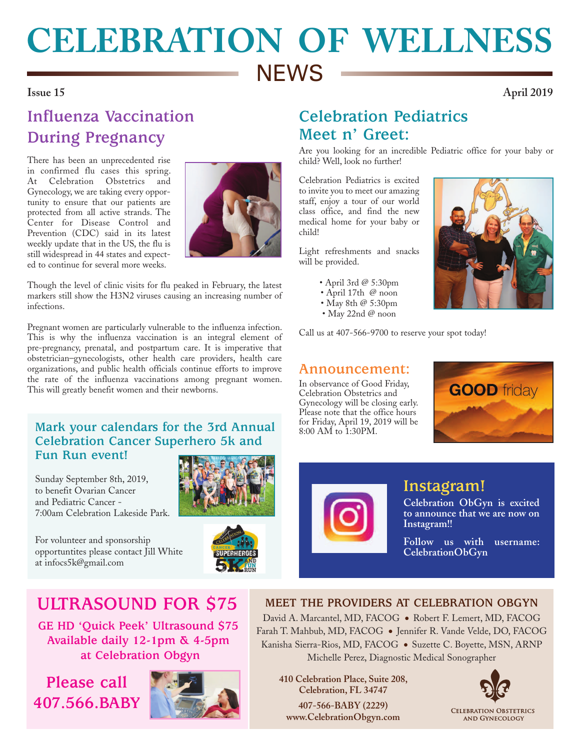# **CELEBRATION OF WELLNESS NEWS**

## **Issue 15 April 2019**

# **Influenza Vaccination During Pregnancy**

There has been an unprecedented rise in confirmed flu cases this spring. At Celebration Obstetrics and Gynecology, we are taking every opportunity to ensure that our patients are protected from all active strands. The Center for Disease Control and Prevention (CDC) said in its latest weekly update that in the US, the flu is still widespread in 44 states and expected to continue for several more weeks.



Though the level of clinic visits for flu peaked in February, the latest markers still show the H3N2 viruses causing an increasing number of infections.

Pregnant women are particularly vulnerable to the influenza infection. This is why the influenza vaccination is an integral element of pre-pregnancy, prenatal, and postpartum care. It is imperative that obstetrician–gynecologists, other health care providers, health care organizations, and public health officials continue efforts to improve the rate of the influenza vaccinations among pregnant women. This will greatly benefit women and their newborns.

### **Mark your calendars for the 3rd Annual Celebration Cancer Superhero 5k and Fun Run event!**

Sunday September 8th, 2019, to benefit Ovarian Cancer and Pediatric Cancer - 7:00am Celebration Lakeside Park.

For volunteer and sponsorship opportuntites please contact Jill White at infocs5k@gmail.com





## **ULTRASOUND FOR \$75**

**GE HD 'Quick Peek' Ultrasound \$75 Available daily 12-1pm & 4-5pm at Celebration Obgyn**

## **Please call 407.566.BABY**



## **Celebration Pediatrics Meet n' Greet:**

Are you looking for an incredible Pediatric office for your baby or child? Well, look no further!

Celebration Pediatrics is excited to invite you to meet our amazing staff, enjoy a tour of our world class office, and find the new medical home for your baby or child!

Light refreshments and snacks will be provided.

- April 3rd @ 5:30pm
- April 17th @ noon
- May 8th  $@$  5:30pm
- May 22nd @ noon

Call us at 407-566-9700 to reserve your spot today!

## **Announcement:**

In observance of Good Friday, Celebration Obstetrics and Gynecology will be closing early. Please note that the office hours for Friday, April 19, 2019 will be 8:00 AM to 1:30PM.







## **Instagram!**

**Celebration ObGyn is excited to announce that we are now on Instagram!!** 

**Follow us with username: CelebrationObGyn** 

### **MEET THE PROVIDERS AT CELEBRATION OBGYN**

David A. Marcantel, MD, FACOG . Robert F. Lemert, MD, FACOG Farah T. Mahbub, MD, FACOG ● Jennifer R. Vande Velde, DO, FACOG Kanisha Sierra-Rios, MD, FACOG ● Suzette C. Boyette, MSN, ARNP Michelle Perez, Diagnostic Medical Sonographer

**410 Celebration Place, Suite 208, Celebration, FL 34747 407-566-BABY (2229) www.CelebrationObgyn.com**